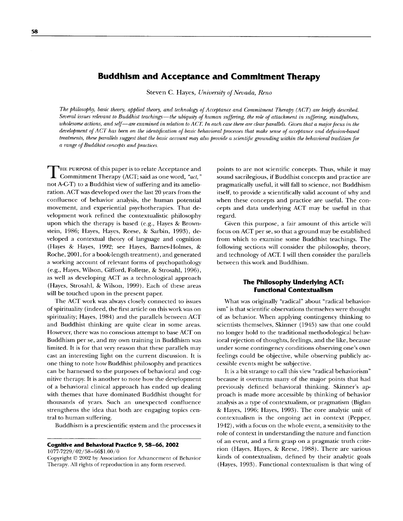# **Buddhism and Acceptance and Commitment Therapy**

Steven C. Hayes, *University of Nevada, Reno* 

*The philosophy, basic theory, applied theory, and technology of Acceptance and Commitment Therapy (ACT) are briefly described. Several issues relevant to Buddhist teachings--the ubiquity of human suffering, the role of attachment in suffering, mindfulness, wholesome actions, and self--are examined in relation to ACT. In each case there are clear paraUels. Given that a major focus in the development of ACT has been on the identification of basic behavioral processes that make sense of acceptance and defusion-based treatments, these parallels suggest that the basic account may also provide a scientific grounding within the behavioral tradition for a range of Buddhist concepts and practices.* 

**T** HE PURPOSE of this paper is to relate Acceptance and Commitment Therapy (ACT; said as one word, *"act,"*  not A-C-T) to a Buddhist view of suffering and its amelioration. ACT was developed over the last 20 years from the confluence of behavior analysis, the human potential movement, and experiential psychotherapies. That development work refined the contextualistic philosophy upon which the therapy is based (e.g., Hayes & Brownstein, 1986; Hayes, Hayes, Reese, & Sarbin, 1993), developed a contextual theory of language and cognition (Hayes & Hayes, 1992; see Hayes, Barnes-Holmes, & Roche, 2001, for a book-length treatment), and generated a working account of relevant forms of psychopathology (e.g., Hayes, Wilson, Gifford, Follette, & Strosahl, 1996), as well as developing ACT as a technological approach (Hayes, Strosahl, & Wilson, 1999). Each of these areas will be touched upon in the present paper.

The ACT work was always closely connected to issues of spirituality (indeed, the first article on this work was on spirituality; Hayes, 1984) and the parallels between ACT and Buddhist thinking are quite clear in some areas. However, there was no conscious attempt to base ACT on Buddhism per se, and my own training in Buddhism was limited. It is for that very reason that these parallels may cast an interesting light on the current discussion. It is one thing to note how Buddhist philosophy and practices can be harnessed to the purposes of behavioral and cognitive therapy. It is another to note how the development of a behavioral clinical approach has ended up dealing with themes that have dominated Buddhist thought for thousands of years. Such an unexpected confluence strengthens the idea that both are engaging topics central to human suffering.

Buddhism is a prescientific system and the processes it

## **Cognitive and Behavioral Practice 9, 58-66, 2002**

1077-7229/02/58-6651.00/0

Copyright © 2002 by Association for Advancement of Behavior Therapy. All rights of reproduction in any form reserved.

points to are not scientific concepts. Thus, while it may sound sacrilegious, if Buddhist concepts and practice are pragmatically useful, it will fall to science, not Buddhism itself, to provide a scientifically valid account of why and when these concepts and practice are useful. The concepts and data underlying ACT may be useful in that regard.

Given this purpose, a fair amount of this article will focus on ACT per se, so that a ground may be established from which to examine some Buddhist teachings. The following sections will consider the philosophy, theory, and technology of ACT. I will then consider the parallels between this work and Buddhism.

### **The Philosophy Underlying ACT: Functional Contextualism**

What was originally "radical" about "radical behaviorism" is that scientific observations themselves were thought of as behavior. When applying contingency thinking to scientists themselves, Skinner (1945) saw that one could no longer hold to the traditional methodological behavioral rejection of thoughts, feelings, and the like, because under some contingency conditions observing one's own feelings could be objective, while observing publicly accessible events might be subjective.

It is a bit strange to call this view "radical behaviorism" because it overturns many of the major points that had previously defined behavioral thinking. Skinner's approach is made more accessible by thinking of behavior analysis as a type of contextualism, or pragmatism (Biglan & Hayes, 1996; Hayes, 1993). The core analytic unit of contextualism is the ongoing act in context (Pepper, 1942), with a focus on the whole event, a sensitivity to the role of context in understanding the nature and function of an event, and a firm grasp on a pragmatic truth criterion (Hayes, Hayes, & Reese, 1988). There are various kinds of contextualism, defined by their analytic goals (Hayes, 1993). Functional contextualism is that wing of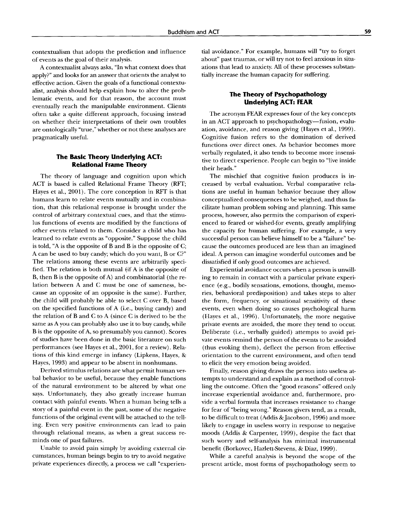contextualism that adopts the prediction and influence of events as the goal of their analysis.

A contextualist always asks, "In what context does that apply?" and looks for an answer that orients the analyst to effective action. Given the goals of a functional contextualist, analysis should help explain how to alter the problematic events, and for that reason, the account must eventually reach the manipulable environment. Clients often take a quite different approach, focusing instead on whether their interpretations of their own troubles are ontologically "true," whether or not these analyses are pragmatically useful.

## **The Basic Theory Underlying ACT: Relational Frame Theory**

The theory of language and cognition upon which ACT is based is called Relational Frame Theory (RFT; Hayes et al., 2001). The core conception in RFT is that humans learn to relate events mutually and in combination, that this relational response is brought under the control of arbitrary contextual cues, and that the stimulus functions of events are modified by the functions of other events related to them. Consider a child who has learned to relate events as "opposite." Suppose the child is told, "A is the opposite of B and B is the opposite of C; A can be used to buy candy; which do you want, B or C?" The relations among these events are arbitrarily specified. The relation is both mutual  $(f \nvert A)$  is the opposite of B, then B is the opposite of A) and combinatorial (the relation between A and C must be one of sameness, because an opposite of an opposite is the same). Further, the child will probably be able to select C over B, based on the specified functions of A (i.e., buying candy) and the relation of B and C to A (since C is derived to be the same as A you can probably also use it to buy candy, while B is the opposite of A, so presumably you cannot). Scores of studies have been done in the basic literature on such performances (see Hayes et al., 2001, for a review). Relations of this kind emerge in infancy (Lipkens, Hayes, & Hayes, 1993) and appear to be absent in nonhumans.

Derived stimulus relations are what permit human verbal behavior to be useful, because they enable functions of the natural environment to be altered by what one says. Unfortunately, they also greatly increase human contact with painful events. When a human being tells a story of a painful event in the past, some of the negative functions of the original event will be attached to the telling. Even very positive environments can lead to pain through relational means, as when a great success reminds one of past failures.

Unable to avoid pain simply by avoiding external circumstances, human beings begin to try to avoid negative private experiences directly, a process we call "experien-

tial avoidance." For example, humans will "try to forget about" past traumas, or will try not to feel anxious in situations that lead to anxiety. All of these processes substantially increase the human capacity for suffering.

### **The Theory of Psychopathology Underlying ACT: FEAR**

The acronym FEAR expresses four of the key concepts in an ACT approach to psychopathology—fusion, evaluation, avoidance, and reason giving (Hayes et al., 1999). Cognitive fusion refers to the domination of derived functions over direct ones. As behavior becomes more verbally regulated, it also tends to become more insensitive to direct experience. People can begin to "live inside their heads."

The mischief that cognitive fusion produces is increased by verbal evaluation. Verbal comparative relations are useful in human behavior because they allow conceptualized consequences to be weighed, and thus facilitate human problem solving and planning. This same process, however, also permits the comparison of experienced to feared or wished-for events, greatly amplifying the capacity for human suffering. For example, a very successful person can believe himself to be a "failure" because the outcomes produced are less than an imagined ideal. A person can imagine wonderful outcomes and be dissatisfied if only good outcomes are achieved.

Experiential avoidance occurs when a person is unwilling to remain in contact with a particular private experience (e.g., bodily sensations, emotions, thought, memories, behavioral predisposition) and takes steps to alter the form, frequency, or situational sensitivity of these events, even when doing so causes psychological harm (Hayes et al., 1996). Unfortunately, the more negative private events are avoided, the more they tend to occur. Deliberate (i.e., verbally guided) attempts to avoid private events remind the person of the events to be avoided (thus evoking them), deflect the person from effective orientation to the current environment, and often tend to elicit the very emotion being avoided.

Finally, reason giving draws the person into useless attempts to understand and explain as a method of controlling the outcome. Often the "good reasons" offered only increase experiential avoidance and, furthermore, provide a verbal formula that increases resistance to change for fear of "being wrong." Reason givers tend, as a result, to be difficult to treat (Addis & Jacobson, 1996) and more likely to engage in useless worry in response to negative moods (Addis & Carpenter, 1999), despite the fact that such worry and self-analysis has minimal instrumental benefit (Borkovec, Hazlett-Stevens, & Diaz, 1999).

While a careful analysis is beyond the scope of the present article, most forms of psychopathology seem to